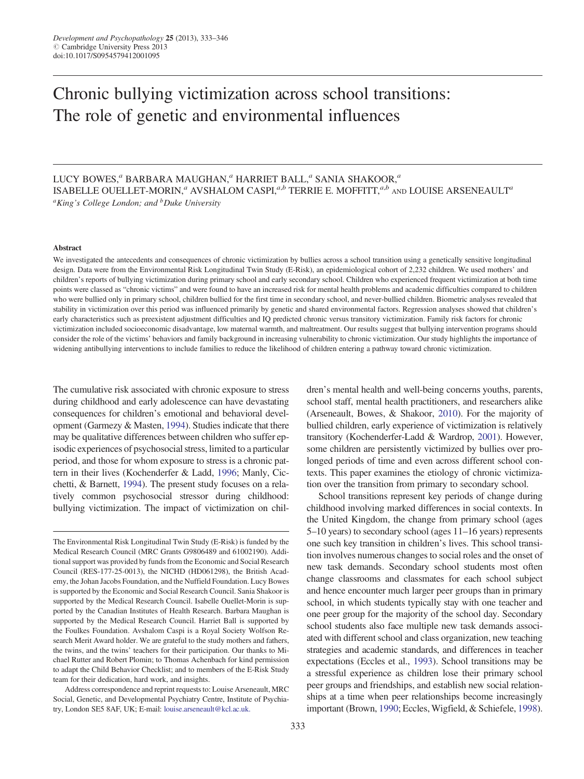# Chronic bullying victimization across school transitions: The role of genetic and environmental influences

# LUCY BOWES, $\emph{a}$ BARBARA MAUGHAN, $\emph{a}$ HARRIET BALL, $\emph{a}$  SANIA SHAKOOR, $\emph{a}$ ISABELLE OUELLET-MORIN,<sup>a</sup> AVSHALOM CASPI,<sup>a,b</sup> TERRIE E. MOFFITT,<sup>a,b</sup> AND LOUISE ARSENEAULT<sup>a</sup> <sup>a</sup>King's College London; and <sup>b</sup>Duke University

#### Abstract

We investigated the antecedents and consequences of chronic victimization by bullies across a school transition using a genetically sensitive longitudinal design. Data were from the Environmental Risk Longitudinal Twin Study (E-Risk), an epidemiological cohort of 2,232 children. We used mothers' and children's reports of bullying victimization during primary school and early secondary school. Children who experienced frequent victimization at both time points were classed as "chronic victims" and were found to have an increased risk for mental health problems and academic difficulties compared to children who were bullied only in primary school, children bullied for the first time in secondary school, and never-bullied children. Biometric analyses revealed that stability in victimization over this period was influenced primarily by genetic and shared environmental factors. Regression analyses showed that children's early characteristics such as preexistent adjustment difficulties and IQ predicted chronic versus transitory victimization. Family risk factors for chronic victimization included socioeconomic disadvantage, low maternal warmth, and maltreatment. Our results suggest that bullying intervention programs should consider the role of the victims' behaviors and family background in increasing vulnerability to chronic victimization. Our study highlights the importance of widening antibullying interventions to include families to reduce the likelihood of children entering a pathway toward chronic victimization.

The cumulative risk associated with chronic exposure to stress during childhood and early adolescence can have devastating consequences for children's emotional and behavioral development (Garmezy & Masten, [1994](#page-13-0)). Studies indicate that there may be qualitative differences between children who suffer episodic experiences of psychosocial stress, limited to a particular period, and those for whom exposure to stress is a chronic pattern in their lives (Kochenderfer & Ladd, [1996;](#page-13-0) Manly, Cicchetti, & Barnett, [1994](#page-13-0)). The present study focuses on a relatively common psychosocial stressor during childhood: bullying victimization. The impact of victimization on children's mental health and well-being concerns youths, parents, school staff, mental health practitioners, and researchers alike (Arseneault, Bowes, & Shakoor, [2010](#page-12-0)). For the majority of bullied children, early experience of victimization is relatively transitory (Kochenderfer-Ladd & Wardrop, [2001](#page-13-0)). However, some children are persistently victimized by bullies over prolonged periods of time and even across different school contexts. This paper examines the etiology of chronic victimization over the transition from primary to secondary school.

School transitions represent key periods of change during childhood involving marked differences in social contexts. In the United Kingdom, the change from primary school (ages 5–10 years) to secondary school (ages 11–16 years) represents one such key transition in children's lives. This school transition involves numerous changes to social roles and the onset of new task demands. Secondary school students most often change classrooms and classmates for each school subject and hence encounter much larger peer groups than in primary school, in which students typically stay with one teacher and one peer group for the majority of the school day. Secondary school students also face multiple new task demands associated with different school and class organization, new teaching strategies and academic standards, and differences in teacher expectations (Eccles et al., [1993](#page-12-0)). School transitions may be a stressful experience as children lose their primary school peer groups and friendships, and establish new social relationships at a time when peer relationships become increasingly important (Brown, [1990](#page-12-0); Eccles, Wigfield, & Schiefele, [1998](#page-12-0)).

The Environmental Risk Longitudinal Twin Study (E-Risk) is funded by the Medical Research Council (MRC Grants G9806489 and 61002190). Additional support was provided by funds from the Economic and Social Research Council (RES-177-25-0013), the NICHD (HD061298), the British Academy, the Johan Jacobs Foundation, and the Nuffield Foundation. Lucy Bowes is supported by the Economic and Social Research Council. Sania Shakoor is supported by the Medical Research Council. Isabelle Ouellet-Morin is supported by the Canadian Institutes of Health Research. Barbara Maughan is supported by the Medical Research Council. Harriet Ball is supported by the Foulkes Foundation. Avshalom Caspi is a Royal Society Wolfson Research Merit Award holder. We are grateful to the study mothers and fathers, the twins, and the twins' teachers for their participation. Our thanks to Michael Rutter and Robert Plomin; to Thomas Achenbach for kind permission to adapt the Child Behavior Checklist; and to members of the E-Risk Study team for their dedication, hard work, and insights.

Address correspondence and reprint requests to: Louise Arseneault, MRC Social, Genetic, and Developmental Psychiatry Centre, Institute of Psychiatry, London SE5 8AF, UK; E-mail: [louise.arseneault@kcl.ac.uk.](mailto:louise.arseneault@kcl.ac.uk.)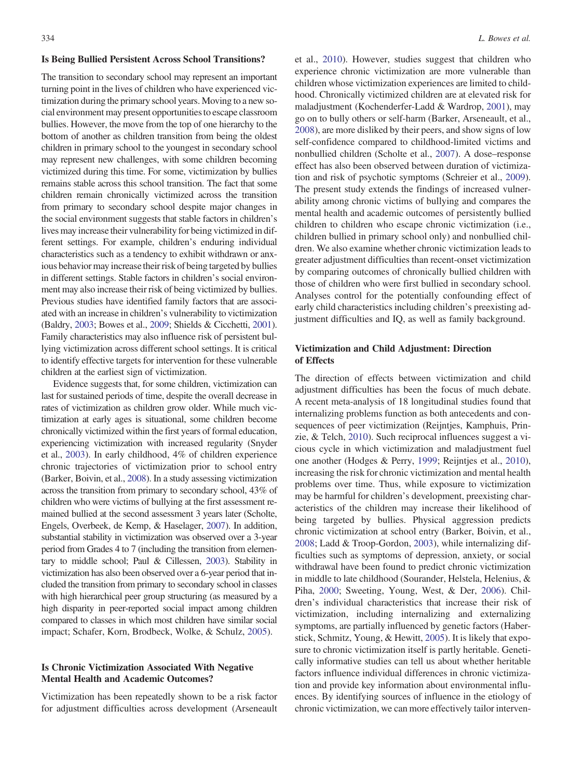## Is Being Bullied Persistent Across School Transitions?

The transition to secondary school may represent an important turning point in the lives of children who have experienced victimization during the primary school years.Moving to a new social environment may present opportunities to escape classroom bullies. However, the move from the top of one hierarchy to the bottom of another as children transition from being the oldest children in primary school to the youngest in secondary school may represent new challenges, with some children becoming victimized during this time. For some, victimization by bullies remains stable across this school transition. The fact that some children remain chronically victimized across the transition from primary to secondary school despite major changes in the social environment suggests that stable factors in children's lives may increase their vulnerability for being victimized in different settings. For example, children's enduring individual characteristics such as a tendency to exhibit withdrawn or anxious behavior may increase their risk of being targeted by bullies in different settings. Stable factors in children's social environment may also increase their risk of being victimized by bullies. Previous studies have identified family factors that are associated with an increase in children's vulnerability to victimization (Baldry, [2003](#page-12-0); Bowes et al., [2009;](#page-12-0) Shields & Cicchetti, [2001](#page-13-0)). Family characteristics may also influence risk of persistent bullying victimization across different school settings. It is critical to identify effective targets for intervention for these vulnerable children at the earliest sign of victimization.

Evidence suggests that, for some children, victimization can last for sustained periods of time, despite the overall decrease in rates of victimization as children grow older. While much victimization at early ages is situational, some children become chronically victimized within the first years of formal education, experiencing victimization with increased regularity (Snyder et al., [2003\)](#page-13-0). In early childhood, 4% of children experience chronic trajectories of victimization prior to school entry (Barker, Boivin, et al., [2008\)](#page-12-0). In a study assessing victimization across the transition from primary to secondary school, 43% of children who were victims of bullying at the first assessment remained bullied at the second assessment 3 years later (Scholte, Engels, Overbeek, de Kemp, & Haselager, [2007](#page-13-0)). In addition, substantial stability in victimization was observed over a 3-year period from Grades 4 to 7 (including the transition from elementary to middle school; Paul & Cillessen, [2003\)](#page-13-0). Stability in victimization has also been observed over a 6-year period that included the transition from primary to secondary school in classes with high hierarchical peer group structuring (as measured by a high disparity in peer-reported social impact among children compared to classes in which most children have similar social impact; Schafer, Korn, Brodbeck, Wolke, & Schulz, [2005\)](#page-13-0).

## Is Chronic Victimization Associated With Negative Mental Health and Academic Outcomes?

Victimization has been repeatedly shown to be a risk factor for adjustment difficulties across development (Arseneault

et al., [2010](#page-12-0)). However, studies suggest that children who experience chronic victimization are more vulnerable than children whose victimization experiences are limited to childhood. Chronically victimized children are at elevated risk for maladjustment (Kochenderfer-Ladd & Wardrop, [2001\)](#page-13-0), may go on to bully others or self-harm (Barker, Arseneault, et al., [2008](#page-12-0)), are more disliked by their peers, and show signs of low self-confidence compared to childhood-limited victims and nonbullied children (Scholte et al., [2007\)](#page-13-0). A dose–response effect has also been observed between duration of victimization and risk of psychotic symptoms (Schreier et al., [2009](#page-13-0)). The present study extends the findings of increased vulnerability among chronic victims of bullying and compares the mental health and academic outcomes of persistently bullied children to children who escape chronic victimization (i.e., children bullied in primary school only) and nonbullied children. We also examine whether chronic victimization leads to greater adjustment difficulties than recent-onset victimization by comparing outcomes of chronically bullied children with those of children who were first bullied in secondary school. Analyses control for the potentially confounding effect of early child characteristics including children's preexisting adjustment difficulties and IQ, as well as family background.

# Victimization and Child Adjustment: Direction of Effects

The direction of effects between victimization and child adjustment difficulties has been the focus of much debate. A recent meta-analysis of 18 longitudinal studies found that internalizing problems function as both antecedents and consequences of peer victimization (Reijntjes, Kamphuis, Prinzie, & Telch, [2010](#page-13-0)). Such reciprocal influences suggest a vicious cycle in which victimization and maladjustment fuel one another (Hodges & Perry, [1999;](#page-13-0) Reijntjes et al., [2010](#page-13-0)), increasing the risk for chronic victimization and mental health problems over time. Thus, while exposure to victimization may be harmful for children's development, preexisting characteristics of the children may increase their likelihood of being targeted by bullies. Physical aggression predicts chronic victimization at school entry (Barker, Boivin, et al., [2008](#page-12-0); Ladd & Troop-Gordon, [2003\)](#page-13-0), while internalizing difficulties such as symptoms of depression, anxiety, or social withdrawal have been found to predict chronic victimization in middle to late childhood (Sourander, Helstela, Helenius, & Piha, [2000;](#page-13-0) Sweeting, Young, West, & Der, [2006\)](#page-13-0). Children's individual characteristics that increase their risk of victimization, including internalizing and externalizing symptoms, are partially influenced by genetic factors (Haberstick, Schmitz, Young, & Hewitt, [2005](#page-13-0)). It is likely that exposure to chronic victimization itself is partly heritable. Genetically informative studies can tell us about whether heritable factors influence individual differences in chronic victimization and provide key information about environmental influences. By identifying sources of influence in the etiology of chronic victimization, we can more effectively tailor interven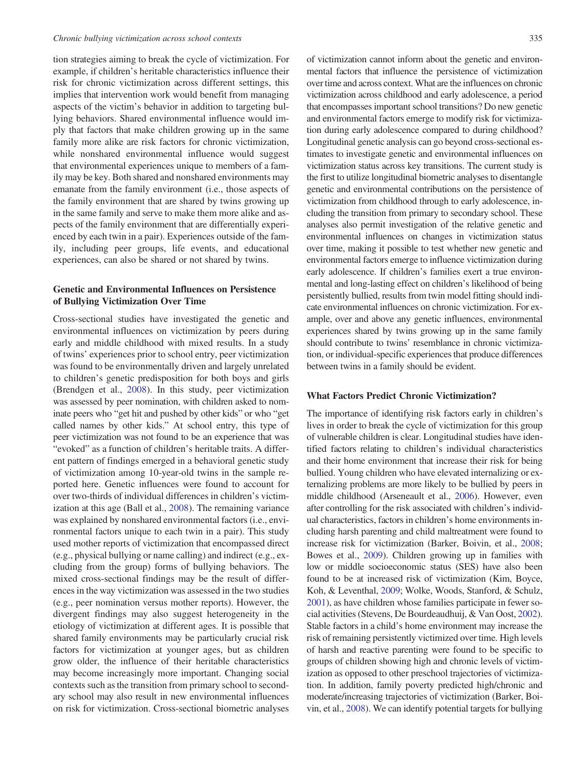tion strategies aiming to break the cycle of victimization. For example, if children's heritable characteristics influence their risk for chronic victimization across different settings, this implies that intervention work would benefit from managing aspects of the victim's behavior in addition to targeting bullying behaviors. Shared environmental influence would imply that factors that make children growing up in the same family more alike are risk factors for chronic victimization, while nonshared environmental influence would suggest that environmental experiences unique to members of a family may be key. Both shared and nonshared environments may emanate from the family environment (i.e., those aspects of the family environment that are shared by twins growing up in the same family and serve to make them more alike and aspects of the family environment that are differentially experienced by each twin in a pair). Experiences outside of the family, including peer groups, life events, and educational experiences, can also be shared or not shared by twins.

# Genetic and Environmental Influences on Persistence of Bullying Victimization Over Time

Cross-sectional studies have investigated the genetic and environmental influences on victimization by peers during early and middle childhood with mixed results. In a study of twins' experiences prior to school entry, peer victimization was found to be environmentally driven and largely unrelated to children's genetic predisposition for both boys and girls (Brendgen et al., [2008](#page-12-0)). In this study, peer victimization was assessed by peer nomination, with children asked to nominate peers who "get hit and pushed by other kids" or who "get called names by other kids." At school entry, this type of peer victimization was not found to be an experience that was "evoked" as a function of children's heritable traits. A different pattern of findings emerged in a behavioral genetic study of victimization among 10-year-old twins in the sample reported here. Genetic influences were found to account for over two-thirds of individual differences in children's victimization at this age (Ball et al., [2008\)](#page-12-0). The remaining variance was explained by nonshared environmental factors (i.e., environmental factors unique to each twin in a pair). This study used mother reports of victimization that encompassed direct (e.g., physical bullying or name calling) and indirect (e.g., excluding from the group) forms of bullying behaviors. The mixed cross-sectional findings may be the result of differences in the way victimization was assessed in the two studies (e.g., peer nomination versus mother reports). However, the divergent findings may also suggest heterogeneity in the etiology of victimization at different ages. It is possible that shared family environments may be particularly crucial risk factors for victimization at younger ages, but as children grow older, the influence of their heritable characteristics may become increasingly more important. Changing social contexts such as the transition from primary school to secondary school may also result in new environmental influences on risk for victimization. Cross-sectional biometric analyses

of victimization cannot inform about the genetic and environmental factors that influence the persistence of victimization over time and across context. What are the influences on chronic victimization across childhood and early adolescence, a period that encompasses important school transitions? Do new genetic and environmental factors emerge to modify risk for victimization during early adolescence compared to during childhood? Longitudinal genetic analysis can go beyond cross-sectional estimates to investigate genetic and environmental influences on victimization status across key transitions. The current study is the first to utilize longitudinal biometric analyses to disentangle genetic and environmental contributions on the persistence of victimization from childhood through to early adolescence, including the transition from primary to secondary school. These analyses also permit investigation of the relative genetic and environmental influences on changes in victimization status over time, making it possible to test whether new genetic and environmental factors emerge to influence victimization during early adolescence. If children's families exert a true environmental and long-lasting effect on children's likelihood of being persistently bullied, results from twin model fitting should indicate environmental influences on chronic victimization. For example, over and above any genetic influences, environmental experiences shared by twins growing up in the same family should contribute to twins' resemblance in chronic victimization, or individual-specific experiences that produce differences between twins in a family should be evident.

## What Factors Predict Chronic Victimization?

The importance of identifying risk factors early in children's lives in order to break the cycle of victimization for this group of vulnerable children is clear. Longitudinal studies have identified factors relating to children's individual characteristics and their home environment that increase their risk for being bullied. Young children who have elevated internalizing or externalizing problems are more likely to be bullied by peers in middle childhood (Arseneault et al., [2006](#page-12-0)). However, even after controlling for the risk associated with children's individual characteristics, factors in children's home environments including harsh parenting and child maltreatment were found to increase risk for victimization (Barker, Boivin, et al., [2008](#page-12-0); Bowes et al., [2009](#page-12-0)). Children growing up in families with low or middle socioeconomic status (SES) have also been found to be at increased risk of victimization (Kim, Boyce, Koh, & Leventhal, [2009;](#page-13-0) Wolke, Woods, Stanford, & Schulz, [2001\)](#page-13-0), as have children whose families participate in fewer social activities (Stevens, De Bourdeaudhuij, & Van Oost, [2002](#page-13-0)). Stable factors in a child's home environment may increase the risk of remaining persistently victimized over time. High levels of harsh and reactive parenting were found to be specific to groups of children showing high and chronic levels of victimization as opposed to other preschool trajectories of victimization. In addition, family poverty predicted high/chronic and moderate/increasing trajectories of victimization (Barker, Boivin, et al., [2008\)](#page-12-0). We can identify potential targets for bullying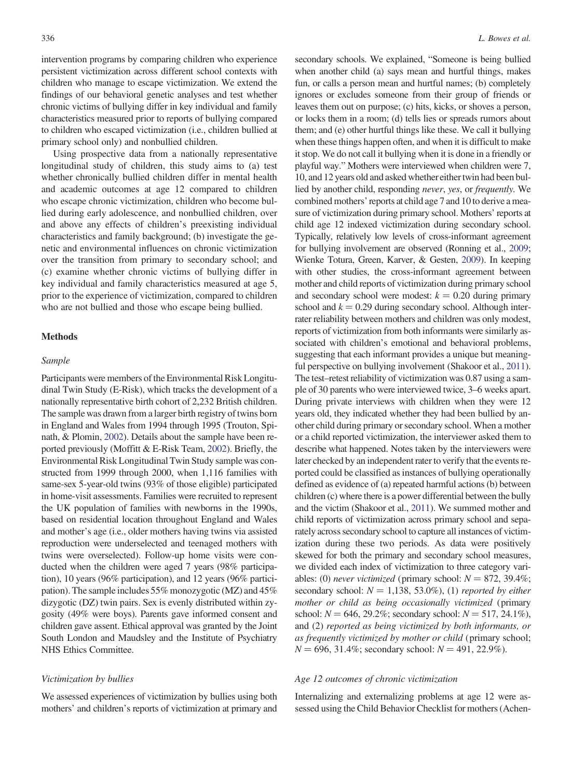intervention programs by comparing children who experience persistent victimization across different school contexts with children who manage to escape victimization. We extend the findings of our behavioral genetic analyses and test whether chronic victims of bullying differ in key individual and family characteristics measured prior to reports of bullying compared to children who escaped victimization (i.e., children bullied at primary school only) and nonbullied children.

Using prospective data from a nationally representative longitudinal study of children, this study aims to (a) test whether chronically bullied children differ in mental health and academic outcomes at age 12 compared to children who escape chronic victimization, children who become bullied during early adolescence, and nonbullied children, over and above any effects of children's preexisting individual characteristics and family background; (b) investigate the genetic and environmental influences on chronic victimization over the transition from primary to secondary school; and (c) examine whether chronic victims of bullying differ in key individual and family characteristics measured at age 5, prior to the experience of victimization, compared to children who are not bullied and those who escape being bullied.

#### Methods

#### Sample

Participants were members of the Environmental Risk Longitudinal Twin Study (E-Risk), which tracks the development of a nationally representative birth cohort of 2,232 British children. The sample was drawn from a larger birth registry of twins born in England and Wales from 1994 through 1995 (Trouton, Spinath, & Plomin, [2002\)](#page-13-0). Details about the sample have been reported previously (Moffitt & E-Risk Team, [2002\)](#page-13-0). Briefly, the Environmental Risk Longitudinal Twin Study sample was constructed from 1999 through 2000, when 1,116 families with same-sex 5-year-old twins (93% of those eligible) participated in home-visit assessments. Families were recruited to represent the UK population of families with newborns in the 1990s, based on residential location throughout England and Wales and mother's age (i.e., older mothers having twins via assisted reproduction were underselected and teenaged mothers with twins were overselected). Follow-up home visits were conducted when the children were aged 7 years (98% participation), 10 years (96% participation), and 12 years (96% participation). The sample includes 55% monozygotic (MZ) and 45% dizygotic (DZ) twin pairs. Sex is evenly distributed within zygosity (49% were boys). Parents gave informed consent and children gave assent. Ethical approval was granted by the Joint South London and Maudsley and the Institute of Psychiatry NHS Ethics Committee.

#### Victimization by bullies

We assessed experiences of victimization by bullies using both mothers' and children's reports of victimization at primary and secondary schools. We explained, "Someone is being bullied when another child (a) says mean and hurtful things, makes fun, or calls a person mean and hurtful names; (b) completely ignores or excludes someone from their group of friends or leaves them out on purpose; (c) hits, kicks, or shoves a person, or locks them in a room; (d) tells lies or spreads rumors about them; and (e) other hurtful things like these. We call it bullying when these things happen often, and when it is difficult to make it stop. We do not call it bullying when it is done in a friendly or playful way." Mothers were interviewed when children were 7, 10, and 12 years old and asked whether either twin had been bullied by another child, responding never, yes, or frequently. We combined mothers' reports at child age 7 and 10 to derive a measure of victimization during primary school. Mothers' reports at child age 12 indexed victimization during secondary school. Typically, relatively low levels of cross-informant agreement for bullying involvement are observed (Ronning et al., [2009](#page-13-0); Wienke Totura, Green, Karver, & Gesten, [2009\)](#page-13-0). In keeping with other studies, the cross-informant agreement between mother and child reports of victimization during primary school and secondary school were modest:  $k = 0.20$  during primary school and  $k = 0.29$  during secondary school. Although interrater reliability between mothers and children was only modest, reports of victimization from both informants were similarly associated with children's emotional and behavioral problems, suggesting that each informant provides a unique but meaningful perspective on bullying involvement (Shakoor et al., [2011](#page-13-0)). The test–retest reliability of victimization was 0.87 using a sample of 30 parents who were interviewed twice, 3–6 weeks apart. During private interviews with children when they were 12 years old, they indicated whether they had been bullied by another child during primary or secondary school. When a mother or a child reported victimization, the interviewer asked them to describe what happened. Notes taken by the interviewers were later checked by an independent rater to verify that the events reported could be classified as instances of bullying operationally defined as evidence of (a) repeated harmful actions (b) between children (c) where there is a power differential between the bully and the victim (Shakoor et al., [2011\)](#page-13-0). We summed mother and child reports of victimization across primary school and separately across secondary school to capture all instances of victimization during these two periods. As data were positively skewed for both the primary and secondary school measures, we divided each index of victimization to three category variables: (0) never victimized (primary school:  $N = 872, 39.4\%$ ; secondary school:  $N = 1,138, 53.0\%$ ), (1) reported by either mother or child as being occasionally victimized (primary school:  $N = 646, 29.2\%$ ; secondary school:  $N = 517, 24.1\%$ ), and (2) reported as being victimized by both informants, or as frequently victimized by mother or child (primary school;  $N = 696, 31.4\%$ ; secondary school:  $N = 491, 22.9\%$ ).

#### Age 12 outcomes of chronic victimization

Internalizing and externalizing problems at age 12 were assessed using the Child Behavior Checklist for mothers (Achen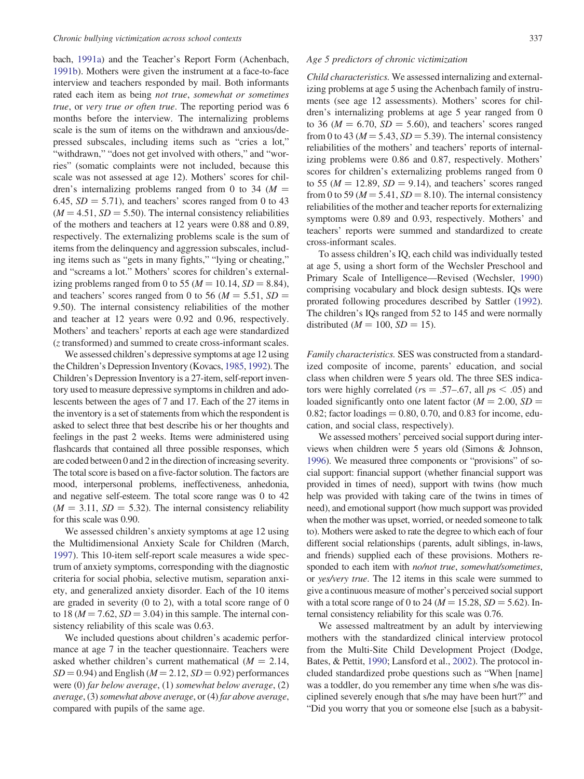bach, [1991a](#page-12-0)) and the Teacher's Report Form (Achenbach, [1991b](#page-12-0)). Mothers were given the instrument at a face-to-face interview and teachers responded by mail. Both informants rated each item as being not true, somewhat or sometimes true, or very true or often true. The reporting period was 6 months before the interview. The internalizing problems scale is the sum of items on the withdrawn and anxious/depressed subscales, including items such as "cries a lot," "withdrawn," "does not get involved with others," and "worries" (somatic complaints were not included, because this scale was not assessed at age 12). Mothers' scores for children's internalizing problems ranged from 0 to 34 ( $M =$ 6.45,  $SD = 5.71$ ), and teachers' scores ranged from 0 to 43  $(M = 4.51, SD = 5.50)$ . The internal consistency reliabilities of the mothers and teachers at 12 years were 0.88 and 0.89, respectively. The externalizing problems scale is the sum of items from the delinquency and aggression subscales, including items such as "gets in many fights," "lying or cheating," and "screams a lot." Mothers' scores for children's externalizing problems ranged from 0 to 55 ( $M = 10.14$ ,  $SD = 8.84$ ), and teachers' scores ranged from 0 to 56 ( $M = 5.51$ ,  $SD =$ 9.50). The internal consistency reliabilities of the mother and teacher at 12 years were 0.92 and 0.96, respectively. Mothers' and teachers' reports at each age were standardized (z transformed) and summed to create cross-informant scales.

We assessed children's depressive symptoms at age 12 using the Children's Depression Inventory (Kovacs, [1985](#page-13-0), [1992\)](#page-13-0). The Children's Depression Inventory is a 27-item, self-report inventory used to measure depressive symptoms in children and adolescents between the ages of 7 and 17. Each of the 27 items in the inventory is a set of statements from which the respondent is asked to select three that best describe his or her thoughts and feelings in the past 2 weeks. Items were administered using flashcards that contained all three possible responses, which are coded between 0 and 2 in the direction of increasing severity. The total score is based on a five-factor solution. The factors are mood, interpersonal problems, ineffectiveness, anhedonia, and negative self-esteem. The total score range was 0 to 42  $(M = 3.11, SD = 5.32)$ . The internal consistency reliability for this scale was 0.90.

We assessed children's anxiety symptoms at age 12 using the Multidimensional Anxiety Scale for Children (March, [1997](#page-13-0)). This 10-item self-report scale measures a wide spectrum of anxiety symptoms, corresponding with the diagnostic criteria for social phobia, selective mutism, separation anxiety, and generalized anxiety disorder. Each of the 10 items are graded in severity (0 to 2), with a total score range of 0 to 18 ( $M = 7.62$ ,  $SD = 3.04$ ) in this sample. The internal consistency reliability of this scale was 0.63.

We included questions about children's academic performance at age 7 in the teacher questionnaire. Teachers were asked whether children's current mathematical  $(M = 2.14,$  $SD = 0.94$ ) and English ( $M = 2.12$ ,  $SD = 0.92$ ) performances were (0) far below average, (1) somewhat below average, (2) average, (3)somewhat above average, or (4) far above average, compared with pupils of the same age.

# Age 5 predictors of chronic victimization

Child characteristics. We assessed internalizing and externalizing problems at age 5 using the Achenbach family of instruments (see age 12 assessments). Mothers' scores for children's internalizing problems at age 5 year ranged from 0 to 36 ( $M = 6.70$ ,  $SD = 5.60$ ), and teachers' scores ranged from 0 to 43 ( $M = 5.43$ ,  $SD = 5.39$ ). The internal consistency reliabilities of the mothers' and teachers' reports of internalizing problems were 0.86 and 0.87, respectively. Mothers' scores for children's externalizing problems ranged from 0 to 55 ( $M = 12.89$ ,  $SD = 9.14$ ), and teachers' scores ranged from 0 to 59 ( $M = 5.41$ ,  $SD = 8.10$ ). The internal consistency reliabilities of the mother and teacher reports for externalizing symptoms were 0.89 and 0.93, respectively. Mothers' and teachers' reports were summed and standardized to create cross-informant scales.

To assess children's IQ, each child was individually tested at age 5, using a short form of the Wechsler Preschool and Primary Scale of Intelligence—Revised (Wechsler, [1990\)](#page-13-0) comprising vocabulary and block design subtests. IQs were prorated following procedures described by Sattler [\(1992](#page-13-0)). The children's IQs ranged from 52 to 145 and were normally distributed ( $M = 100$ ,  $SD = 15$ ).

Family characteristics. SES was constructed from a standardized composite of income, parents' education, and social class when children were 5 years old. The three SES indicators were highly correlated ( $rs = .57-.67$ , all  $ps < .05$ ) and loaded significantly onto one latent factor ( $M = 2.00$ ,  $SD =$ 0.82; factor loadings  $= 0.80, 0.70,$  and 0.83 for income, education, and social class, respectively).

We assessed mothers' perceived social support during interviews when children were 5 years old (Simons & Johnson, [1996](#page-13-0)). We measured three components or "provisions" of social support: financial support (whether financial support was provided in times of need), support with twins (how much help was provided with taking care of the twins in times of need), and emotional support (how much support was provided when the mother was upset, worried, or needed someone to talk to). Mothers were asked to rate the degree to which each of four different social relationships (parents, adult siblings, in-laws, and friends) supplied each of these provisions. Mothers responded to each item with no/not true, somewhat/sometimes, or yes/very true. The 12 items in this scale were summed to give a continuous measure of mother's perceived social support with a total score range of 0 to 24 ( $M = 15.28$ ,  $SD = 5.62$ ). Internal consistency reliability for this scale was 0.76.

We assessed maltreatment by an adult by interviewing mothers with the standardized clinical interview protocol from the Multi-Site Child Development Project (Dodge, Bates, & Pettit, [1990;](#page-12-0) Lansford et al., [2002](#page-13-0)). The protocol included standardized probe questions such as "When [name] was a toddler, do you remember any time when s/he was disciplined severely enough that s/he may have been hurt?" and "Did you worry that you or someone else [such as a babysit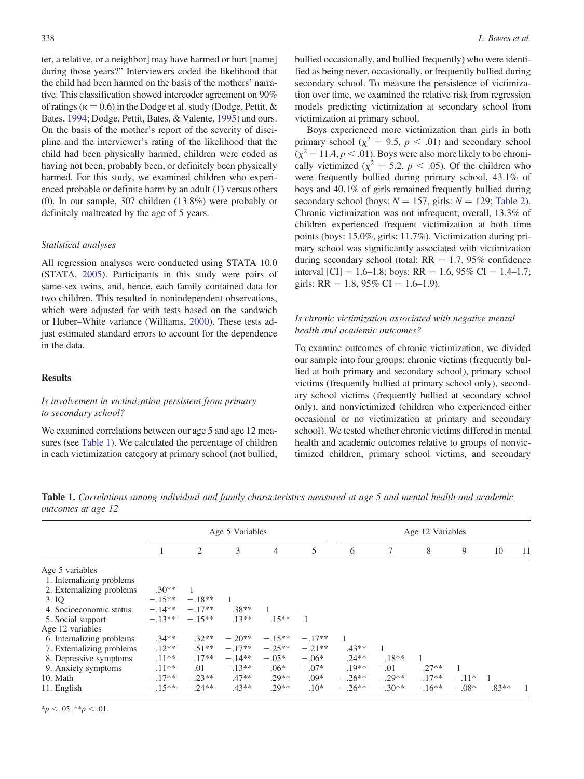ter, a relative, or a neighbor] may have harmed or hurt [name] during those years?" Interviewers coded the likelihood that the child had been harmed on the basis of the mothers' narrative. This classification showed intercoder agreement on 90% of ratings ( $\kappa = 0.6$ ) in the Dodge et al. study (Dodge, Pettit, & Bates, [1994](#page-12-0); Dodge, Pettit, Bates, & Valente, [1995\)](#page-12-0) and ours. On the basis of the mother's report of the severity of discipline and the interviewer's rating of the likelihood that the child had been physically harmed, children were coded as having not been, probably been, or definitely been physically harmed. For this study, we examined children who experienced probable or definite harm by an adult (1) versus others (0). In our sample, 307 children (13.8%) were probably or definitely maltreated by the age of 5 years.

## Statistical analyses

All regression analyses were conducted using STATA 10.0 (STATA, [2005\)](#page-13-0). Participants in this study were pairs of same-sex twins, and, hence, each family contained data for two children. This resulted in nonindependent observations, which were adjusted for with tests based on the sandwich or Huber–White variance (Williams, [2000\)](#page-13-0). These tests adjust estimated standard errors to account for the dependence in the data.

# **Results**

# Is involvement in victimization persistent from primary to secondary school?

We examined correlations between our age 5 and age 12 measures (see Table 1). We calculated the percentage of children in each victimization category at primary school (not bullied, bullied occasionally, and bullied frequently) who were identified as being never, occasionally, or frequently bullied during secondary school. To measure the persistence of victimization over time, we examined the relative risk from regression models predicting victimization at secondary school from victimization at primary school.

Boys experienced more victimization than girls in both primary school ( $\chi^2 = 9.5$ ,  $p < .01$ ) and secondary school  $(\chi^2 = 11.4, p < .01)$ . Boys were also more likely to be chronically victimized ( $\chi^2 = 5.2$ ,  $p < .05$ ). Of the children who were frequently bullied during primary school, 43.1% of boys and 40.1% of girls remained frequently bullied during secondary school (boys:  $N = 157$ , girls:  $N = 129$ ; [Table 2](#page-6-0)). Chronic victimization was not infrequent; overall, 13.3% of children experienced frequent victimization at both time points (boys: 15.0%, girls: 11.7%). Victimization during primary school was significantly associated with victimization during secondary school (total:  $RR = 1.7, 95\%$  confidence interval  $|CI| = 1.6$ –1.8; boys: RR = 1.6, 95% CI = 1.4–1.7; girls: RR = 1.8, 95% CI = 1.6–1.9).

# Is chronic victimization associated with negative mental health and academic outcomes?

To examine outcomes of chronic victimization, we divided our sample into four groups: chronic victims (frequently bullied at both primary and secondary school), primary school victims (frequently bullied at primary school only), secondary school victims (frequently bullied at secondary school only), and nonvictimized (children who experienced either occasional or no victimization at primary and secondary school). We tested whether chronic victims differed in mental health and academic outcomes relative to groups of nonvictimized children, primary school victims, and secondary

Table 1. Correlations among individual and family characteristics measured at age 5 and mental health and academic outcomes at age 12

|                           | Age 5 Variables |                   |          |                   |          | Age 12 Variables |                                     |         |   |         |    |
|---------------------------|-----------------|-------------------|----------|-------------------|----------|------------------|-------------------------------------|---------|---|---------|----|
|                           | 1               | 2                 | 3        | $\overline{4}$    | 5        | 6                | 7                                   | 8       | 9 | 10      | 11 |
| Age 5 variables           |                 |                   |          |                   |          |                  |                                     |         |   |         |    |
| 1. Internalizing problems |                 |                   |          |                   |          |                  |                                     |         |   |         |    |
| 2. Externalizing problems | $.30**$         |                   |          |                   |          |                  |                                     |         |   |         |    |
| 3. IQ                     |                 | $-.15** - .18**$  |          |                   |          |                  |                                     |         |   |         |    |
| 4. Socioeconomic status   |                 | $-.14**$ $-.17**$ | $.38**$  |                   |          |                  |                                     |         |   |         |    |
| 5. Social support         | $-.13**$        | $-15**$           | $.13***$ | $.15***$          |          |                  |                                     |         |   |         |    |
| Age 12 variables          |                 |                   |          |                   |          |                  |                                     |         |   |         |    |
| 6. Internalizing problems | $.34**$         | $.32**$           |          | $-.20**$ $-.15**$ | $-.17**$ |                  |                                     |         |   |         |    |
| 7. Externalizing problems | $.12**$         | $.51**$           |          | $-17**$ $-25**$   | $-.21**$ | $.43**$          |                                     |         |   |         |    |
| 8. Depressive symptoms    | $.11**$         | $.17**$           |          | $-.14**$ $-.05*$  | $-.06*$  | $.24**$          | $.18**$                             |         |   |         |    |
| 9. Anxiety symptoms       | $.11**$         | .01               | $-.13**$ | $-.06*$           | $-.07*$  | $.19**$          | $-.01$                              | $.27**$ |   |         |    |
| 10. Math                  | $-.17**$        | $-.23**$          | $.47**$  | $.29**$           | $.09*$   |                  | $-.26***$ $-.29**$ $-.17**$ $-.11*$ |         |   |         |    |
| 11. English               | $-.15**$        | $-.24**$          | $.43**$  | $.29**$           | $.10*$   |                  | $-.26**$ $-.30**$ $-.16**$ $-.08*$  |         |   | $.83**$ |    |

 $*_{p}$  < .05.  $*_{p}$  < .01.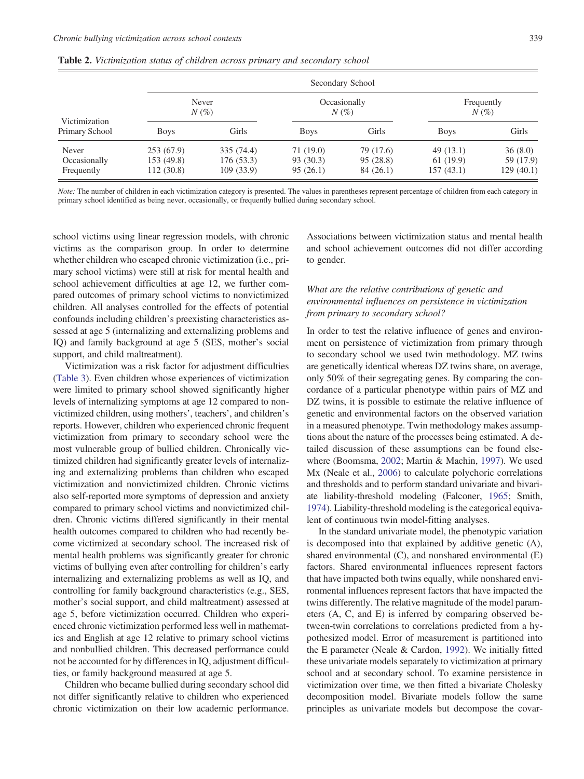| Victimization<br>Primary School     |                                        | Secondary School                     |                                   |                                    |                                   |                                   |  |  |  |  |
|-------------------------------------|----------------------------------------|--------------------------------------|-----------------------------------|------------------------------------|-----------------------------------|-----------------------------------|--|--|--|--|
|                                     | $N(\%)$                                | Never                                |                                   | Occasionally<br>$N(\%)$            | Frequently<br>$N(\%)$             |                                   |  |  |  |  |
|                                     | <b>Boys</b>                            | Girls                                | <b>Boys</b>                       | Girls                              | <b>Boys</b>                       | Girls                             |  |  |  |  |
| Never<br>Occasionally<br>Frequently | 253 (67.9)<br>153 (49.8)<br>112 (30.8) | 335 (74.4)<br>176(53.3)<br>109(33.9) | 71(19.0)<br>93 (30.3)<br>95(26.1) | 79 (17.6)<br>95(28.8)<br>84 (26.1) | 49(13.1)<br>61(19.9)<br>157(43.1) | 36(8.0)<br>59 (17.9)<br>129(40.1) |  |  |  |  |

<span id="page-6-0"></span>Table 2. Victimization status of children across primary and secondary school

Note: The number of children in each victimization category is presented. The values in parentheses represent percentage of children from each category in primary school identified as being never, occasionally, or frequently bullied during secondary school.

school victims using linear regression models, with chronic victims as the comparison group. In order to determine whether children who escaped chronic victimization (i.e., primary school victims) were still at risk for mental health and school achievement difficulties at age 12, we further compared outcomes of primary school victims to nonvictimized children. All analyses controlled for the effects of potential confounds including children's preexisting characteristics assessed at age 5 (internalizing and externalizing problems and IQ) and family background at age 5 (SES, mother's social support, and child maltreatment).

Victimization was a risk factor for adjustment difficulties [\(Table 3](#page-7-0)). Even children whose experiences of victimization were limited to primary school showed significantly higher levels of internalizing symptoms at age 12 compared to nonvictimized children, using mothers', teachers', and children's reports. However, children who experienced chronic frequent victimization from primary to secondary school were the most vulnerable group of bullied children. Chronically victimized children had significantly greater levels of internalizing and externalizing problems than children who escaped victimization and nonvictimized children. Chronic victims also self-reported more symptoms of depression and anxiety compared to primary school victims and nonvictimized children. Chronic victims differed significantly in their mental health outcomes compared to children who had recently become victimized at secondary school. The increased risk of mental health problems was significantly greater for chronic victims of bullying even after controlling for children's early internalizing and externalizing problems as well as IQ, and controlling for family background characteristics (e.g., SES, mother's social support, and child maltreatment) assessed at age 5, before victimization occurred. Children who experienced chronic victimization performed less well in mathematics and English at age 12 relative to primary school victims and nonbullied children. This decreased performance could not be accounted for by differences in IQ, adjustment difficulties, or family background measured at age 5.

Children who became bullied during secondary school did not differ significantly relative to children who experienced chronic victimization on their low academic performance.

Associations between victimization status and mental health and school achievement outcomes did not differ according to gender.

# What are the relative contributions of genetic and environmental influences on persistence in victimization from primary to secondary school?

In order to test the relative influence of genes and environment on persistence of victimization from primary through to secondary school we used twin methodology. MZ twins are genetically identical whereas DZ twins share, on average, only 50% of their segregating genes. By comparing the concordance of a particular phenotype within pairs of MZ and DZ twins, it is possible to estimate the relative influence of genetic and environmental factors on the observed variation in a measured phenotype. Twin methodology makes assumptions about the nature of the processes being estimated. A detailed discussion of these assumptions can be found elsewhere (Boomsma, [2002;](#page-12-0) Martin & Machin, [1997\)](#page-13-0). We used Mx (Neale et al., [2006](#page-13-0)) to calculate polychoric correlations and thresholds and to perform standard univariate and bivariate liability-threshold modeling (Falconer, [1965;](#page-12-0) Smith, [1974\)](#page-13-0). Liability-threshold modeling is the categorical equivalent of continuous twin model-fitting analyses.

In the standard univariate model, the phenotypic variation is decomposed into that explained by additive genetic (A), shared environmental (C), and nonshared environmental (E) factors. Shared environmental influences represent factors that have impacted both twins equally, while nonshared environmental influences represent factors that have impacted the twins differently. The relative magnitude of the model parameters (A, C, and E) is inferred by comparing observed between-twin correlations to correlations predicted from a hypothesized model. Error of measurement is partitioned into the E parameter (Neale & Cardon, [1992\)](#page-13-0). We initially fitted these univariate models separately to victimization at primary school and at secondary school. To examine persistence in victimization over time, we then fitted a bivariate Cholesky decomposition model. Bivariate models follow the same principles as univariate models but decompose the covar-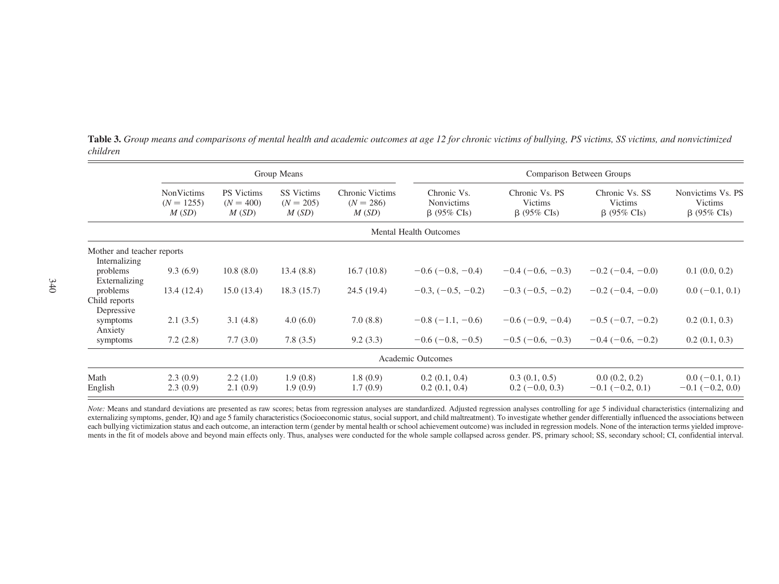|                                             | Group Means                                |                                           |                                           |                                                | Comparison Between Groups                             |                                                       |                                                       |                                                   |  |
|---------------------------------------------|--------------------------------------------|-------------------------------------------|-------------------------------------------|------------------------------------------------|-------------------------------------------------------|-------------------------------------------------------|-------------------------------------------------------|---------------------------------------------------|--|
|                                             | <b>NonVictims</b><br>$(N = 1255)$<br>M(SD) | <b>PS</b> Victims<br>$(N = 400)$<br>M(SD) | <b>SS</b> Victims<br>$(N = 205)$<br>M(SD) | <b>Chronic Victims</b><br>$(N = 286)$<br>M(SD) | Chronic Vs.<br><b>Nonvictims</b><br>$\beta$ (95% CIs) | Chronic Vs. PS<br><b>Victims</b><br>$\beta$ (95% CIs) | Chronic Vs. SS<br><b>Victims</b><br>$\beta$ (95% CIs) | Nonvictims Vs. PS<br>Victims<br>$\beta$ (95% CIs) |  |
|                                             |                                            |                                           |                                           |                                                | <b>Mental Health Outcomes</b>                         |                                                       |                                                       |                                                   |  |
| Mother and teacher reports<br>Internalizing |                                            |                                           |                                           |                                                |                                                       |                                                       |                                                       |                                                   |  |
| problems<br>Externalizing                   | 9.3(6.9)                                   | 10.8(8.0)                                 | 13.4(8.8)                                 | 16.7(10.8)                                     | $-0.6$ ( $-0.8$ , $-0.4$ )                            | $-0.4(-0.6, -0.3)$                                    | $-0.2$ (-0.4, -0.0)                                   | 0.1(0.0, 0.2)                                     |  |
| problems<br>Child reports<br>Depressive     | 13.4(12.4)                                 | 15.0(13.4)                                | 18.3(15.7)                                | 24.5(19.4)                                     | $-0.3, (-0.5, -0.2)$                                  | $-0.3$ ( $-0.5, -0.2$ )                               | $-0.2$ (-0.4, -0.0)                                   | $0.0 (-0.1, 0.1)$                                 |  |
| symptoms<br>Anxiety                         | 2.1(3.5)                                   | 3.1(4.8)                                  | 4.0(6.0)                                  | 7.0(8.8)                                       | $-0.8$ ( $-1.1, -0.6$ )                               | $-0.6(-0.9, -0.4)$                                    | $-0.5$ ( $-0.7, -0.2$ )                               | 0.2(0.1, 0.3)                                     |  |
| symptoms                                    | 7.2(2.8)                                   | 7.7(3.0)                                  | 7.8(3.5)                                  | 9.2(3.3)                                       | $-0.6$ ( $-0.8, -0.5$ )                               | $-0.5$ ( $-0.6, -0.3$ )                               | $-0.4$ ( $-0.6$ , $-0.2$ )                            | 0.2(0.1, 0.3)                                     |  |
|                                             |                                            |                                           |                                           |                                                | Academic Outcomes                                     |                                                       |                                                       |                                                   |  |
| Math<br>English                             | 2.3(0.9)<br>2.3(0.9)                       | 2.2(1.0)<br>2.1(0.9)                      | 1.9(0.8)<br>1.9(0.9)                      | 1.8(0.9)<br>1.7(0.9)                           | 0.2(0.1, 0.4)<br>0.2(0.1, 0.4)                        | 0.3(0.1, 0.5)<br>$0.2$ (-0.0, 0.3)                    | 0.0(0.2, 0.2)<br>$-0.1$ ( $-0.2$ , 0.1)               | $0.0 (-0.1, 0.1)$<br>$-0.1$ ( $-0.2$ , 0.0)       |  |

<span id="page-7-0"></span>**Table 3.** Group means and comparisons of mental health and academic outcomes at age 12 for chronic victims of bullying, PS victims, SS victims, and nonvictimized children

Note: Means and standard deviations are presented as raw scores; betas from regression analyses are standardized. Adjusted regression analyses controlling for age 5 individual characteristics (internalizing and externalizing symptoms, gender, IQ) and age 5 family characteristics (Socioeconomic status, social support, and child maltreatment). To investigate whether gender differentially influenced the associations between each bullying victimization status and each outcome, an interaction term (gender by mental health or school achievement outcome) was included in regression models. None of the interaction terms yielded improvements in the fit of models above and beyond main effects only. Thus, analyses were conducted for the whole sample collapsed across gender. PS, primary school; SS, secondary school; CI, confidential interval.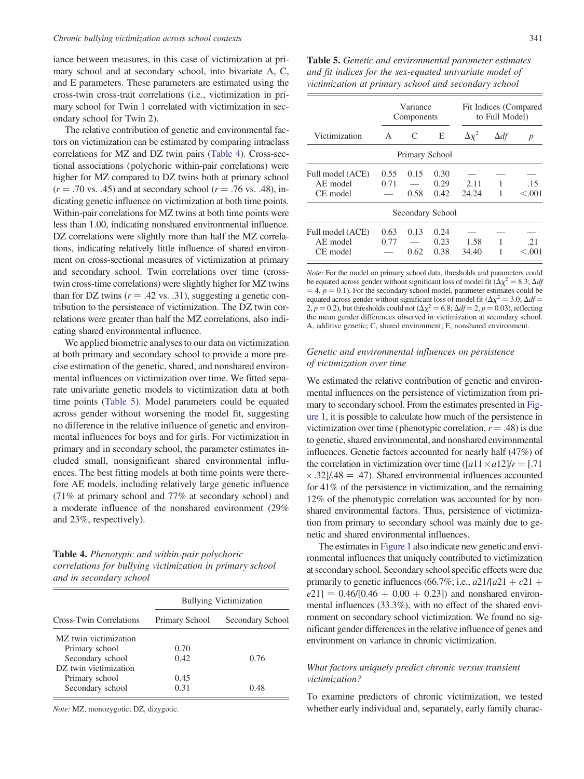iance between measures, in this case of victimization at primary school and at secondary school, into bivariate A, C, and E parameters. These parameters are estimated using the cross-twin cross-trait correlations (i.e., victimization in primary school for Twin 1 correlated with victimization in secondary school for Twin 2).

The relative contribution of genetic and environmental factors on victimization can be estimated by comparing intraclass correlations for MZ and DZ twin pairs (Table 4). Cross-sectional associations (polychoric within-pair correlations) were higher for MZ compared to DZ twins both at primary school  $(r = .70 \text{ vs. } .45)$  and at secondary school  $(r = .76 \text{ vs. } .48)$ , indicating genetic influence on victimization at both time points. Within-pair correlations for MZ twins at both time points were less than 1.00, indicating nonshared environmental influence. DZ correlations were slightly more than half the MZ correlations, indicating relatively little influence of shared environment on cross-sectional measures of victimization at primary and secondary school. Twin correlations over time (crosstwin cross-time correlations) were slightly higher for MZ twins than for DZ twins ( $r = .42$  vs. .31), suggesting a genetic contribution to the persistence of victimization. The DZ twin correlations were greater than half the MZ correlations, also indicating shared environmental influence.

We applied biometric analyses to our data on victimization at both primary and secondary school to provide a more precise estimation of the genetic, shared, and nonshared environmental influences on victimization over time. We fitted separate univariate genetic models to victimization data at both time points (Table 5). Model parameters could be equated across gender without worsening the model fit, suggesting no difference in the relative influence of genetic and environmental influences for boys and for girls. For victimization in primary and in secondary school, the parameter estimates included small, nonsignificant shared environmental influences. The best fitting models at both time points were therefore AE models, including relatively large genetic influence (71% at primary school and 77% at secondary school) and a moderate influence of the nonshared environment (29% and 23%, respectively).

Table 4. Phenotypic and within-pair polychoric correlations for bullying victimization in primary school and in secondary school

|                                                                                      | <b>Bullying Victimization</b> |                  |  |  |  |
|--------------------------------------------------------------------------------------|-------------------------------|------------------|--|--|--|
| Cross-Twin Correlations                                                              | Primary School                | Secondary School |  |  |  |
| MZ twin victimization<br>Primary school<br>Secondary school<br>DZ twin victimization | 0.70<br>0.42                  | 0.76             |  |  |  |
| Primary school<br>Secondary school                                                   | 0.45<br>0.31                  | 0.48             |  |  |  |

Note: MZ, monozygotic; DZ, dizygotic.

Table 5. Genetic and environmental parameter estimates and fit indices for the sex-equated univariate model of victimization at primary school and secondary school

|                                          |              | Variance<br>Components |                      | Fit Indices (Compared<br>to Full Model) |             |                |  |
|------------------------------------------|--------------|------------------------|----------------------|-----------------------------------------|-------------|----------------|--|
| Victimization                            | A            | E<br>C                 |                      | $\Delta x^2$                            | $\Delta df$ | p              |  |
|                                          |              | Primary School         |                      |                                         |             |                |  |
| Full model (ACE)<br>AE model<br>CE model | 0.55<br>0.71 | 0.15<br>0.58           | 0.30<br>0.29<br>0.42 | 2.11<br>24.24                           | 1           | .15<br>< 0.001 |  |
|                                          |              |                        | Secondary School     |                                         |             |                |  |
| Full model (ACE)<br>AE model<br>CE model | 0.63<br>0.77 | 0.13<br>0.62           | 0.24<br>0.23<br>0.38 | 1.58<br>34.40                           |             | .21<br>< 0.001 |  |

Note: For the model on primary school data, thresholds and parameters could be equated across gender without significant loss of model fit ( $\Delta \chi^2 = 8.3$ ;  $\Delta df$  $= 4, p = 0.1$ ). For the secondary school model, parameter estimates could be equated across gender without significant loss of model fit ( $\Delta \chi^2 = 3.0$ ;  $\Delta df =$ 2,  $p = 0.2$ ), but thresholds could not ( $\Delta \chi^2 = 6.8$ ;  $\Delta df = 2$ ,  $p = 0.03$ ), reflecting the mean gender differences observed in victimization at secondary school. A, additive genetic; C, shared environment; E, nonshared environment.

## Genetic and environmental influences on persistence of victimization over time

We estimated the relative contribution of genetic and environmental influences on the persistence of victimization from primary to secondary school. From the estimates presented in [Fig](#page-9-0)[ure 1](#page-9-0), it is possible to calculate how much of the persistence in victimization over time (phenotypic correlation,  $r = .48$ ) is due to genetic, shared environmental, and nonshared environmental influences. Genetic factors accounted for nearly half (47%) of the correlation in victimization over time  $([a11 \times a12]/r = [.71]$  $\times$  .32]/.48 = .47). Shared environmental influences accounted for 41% of the persistence in victimization, and the remaining 12% of the phenotypic correlation was accounted for by nonshared environmental factors. Thus, persistence of victimization from primary to secondary school was mainly due to genetic and shared environmental influences.

The estimates in [Figure 1](#page-9-0) also indicate new genetic and environmental influences that uniquely contributed to victimization at secondary school. Secondary school specific effects were due primarily to genetic influences (66.7%; i.e.,  $a21/[a21 + c21 +$  $e21$ ] = 0.46/[0.46 + 0.00 + 0.23]) and nonshared environmental influences (33.3%), with no effect of the shared environment on secondary school victimization. We found no significant gender differences in the relative influence of genes and environment on variance in chronic victimization.

# What factors uniquely predict chronic versus transient victimization?

To examine predictors of chronic victimization, we tested whether early individual and, separately, early family charac-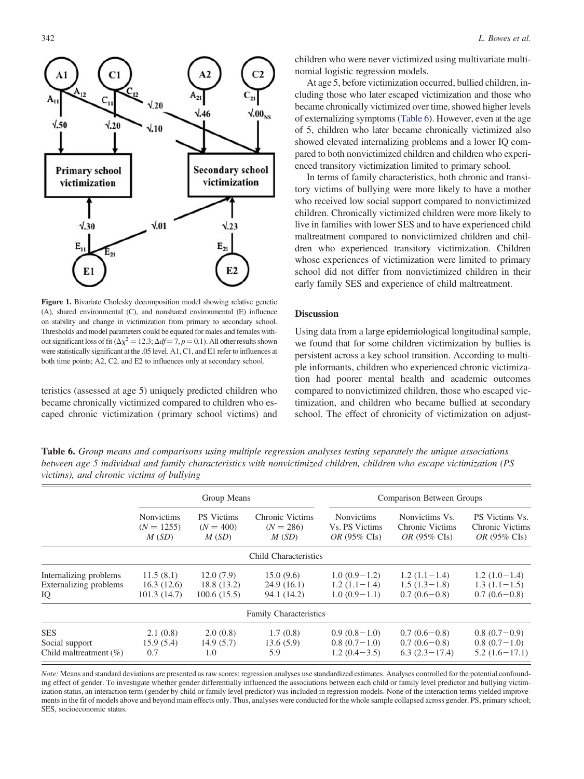<span id="page-9-0"></span>

Figure 1. Bivariate Cholesky decomposition model showing relative genetic (A), shared environmental (C), and nonshared environmental (E) influence on stability and change in victimization from primary to secondary school. Thresholds and model parameters could be equated for males and females without significant loss of fit ( $\Delta \chi^2 = 12.3$ ;  $\Delta df = 7$ ,  $p = 0.1$ ). All other results shown were statistically significant at the .05 level. A1, C1, and E1 refer to influences at both time points; A2, C2, and E2 to influences only at secondary school.

teristics (assessed at age 5) uniquely predicted children who became chronically victimized compared to children who escaped chronic victimization (primary school victims) and

children who were never victimized using multivariate multinomial logistic regression models.

At age 5, before victimization occurred, bullied children, including those who later escaped victimization and those who became chronically victimized over time, showed higher levels of externalizing symptoms (Table 6). However, even at the age of 5, children who later became chronically victimized also showed elevated internalizing problems and a lower IQ compared to both nonvictimized children and children who experienced transitory victimization limited to primary school.

In terms of family characteristics, both chronic and transitory victims of bullying were more likely to have a mother who received low social support compared to nonvictimized children. Chronically victimized children were more likely to live in families with lower SES and to have experienced child maltreatment compared to nonvictimized children and children who experienced transitory victimization. Children whose experiences of victimization were limited to primary school did not differ from nonvictimized children in their early family SES and experience of child maltreatment.

## Discussion

Using data from a large epidemiological longitudinal sample, we found that for some children victimization by bullies is persistent across a key school transition. According to multiple informants, children who experienced chronic victimization had poorer mental health and academic outcomes compared to nonvictimized children, those who escaped victimization, and children who became bullied at secondary school. The effect of chronicity of victimization on adjust-

Table 6. Group means and comparisons using multiple regression analyses testing separately the unique associations between age 5 individual and family characteristics with nonvictimized children, children who escape victimization (PS victims), and chronic victims of bullying

|                                                           |                                                                                         | Group Means                             |                                         | <b>Comparison Between Groups</b>                               |                                                              |                                                              |  |
|-----------------------------------------------------------|-----------------------------------------------------------------------------------------|-----------------------------------------|-----------------------------------------|----------------------------------------------------------------|--------------------------------------------------------------|--------------------------------------------------------------|--|
|                                                           | <b>PS</b> Victims<br><b>Nonvictims</b><br>$(N = 1255)$<br>$(N = 400)$<br>M(SD)<br>M(SD) |                                         | Chronic Victims<br>$(N = 286)$<br>M(SD) | <b>Nonvictims</b><br>Vs. PS Victims<br>OR $(95\% \text{ Cls})$ | Nonvictims Vs.<br>Chronic Victims<br>OR $(95\% \text{ Cls})$ | PS Victims Vs.<br>Chronic Victims<br>OR $(95\% \text{ Cls})$ |  |
|                                                           |                                                                                         |                                         | Child Characteristics                   |                                                                |                                                              |                                                              |  |
| Internalizing problems<br>Externalizing problems<br>IQ    | 11.5(8.1)<br>16.3(12.6)<br>101.3(14.7)                                                  | 12.0(7.9)<br>18.8 (13.2)<br>100.6(15.5) | 15.0(9.6)<br>24.9(16.1)<br>94.1 (14.2)  | $1.0(0.9-1.2)$<br>$1.2(1.1-1.4)$<br>$1.0(0.9-1.1)$             | $1.2(1.1-1.4)$<br>$1.5(1.3-1.8)$<br>$0.7(0.6-0.8)$           | $1.2(1.0-1.4)$<br>$1.3(1.1-1.5)$<br>$0.7(0.6-0.8)$           |  |
|                                                           |                                                                                         |                                         | <b>Family Characteristics</b>           |                                                                |                                                              |                                                              |  |
| <b>SES</b><br>Social support<br>Child maltreatment $(\%)$ | 2.1(0.8)<br>15.9(5.4)<br>0.7                                                            | 2.0(0.8)<br>14.9(5.7)<br>1.0            | 1.7(0.8)<br>13.6(5.9)<br>5.9            | $0.9(0.8-1.0)$<br>$0.8(0.7-1.0)$<br>$1.2(0.4-3.5)$             | $0.7(0.6-0.8)$<br>$0.7(0.6-0.8)$<br>$6.3(2.3-17.4)$          | $0.8(0.7-0.9)$<br>$0.8(0.7-1.0)$<br>$5.2(1.6-17.1)$          |  |

Note: Means and standard deviations are presented as raw scores; regression analyses use standardized estimates. Analyses controlled for the potential confounding effect of gender. To investigate whether gender differentially influenced the associations between each child or family level predictor and bullying victimization status, an interaction term (gender by child or family level predictor) was included in regression models. None of the interaction terms yielded improvements in the fit of models above and beyond main effects only. Thus, analyses were conducted for the whole sample collapsed across gender. PS, primary school; SES, socioeconomic status.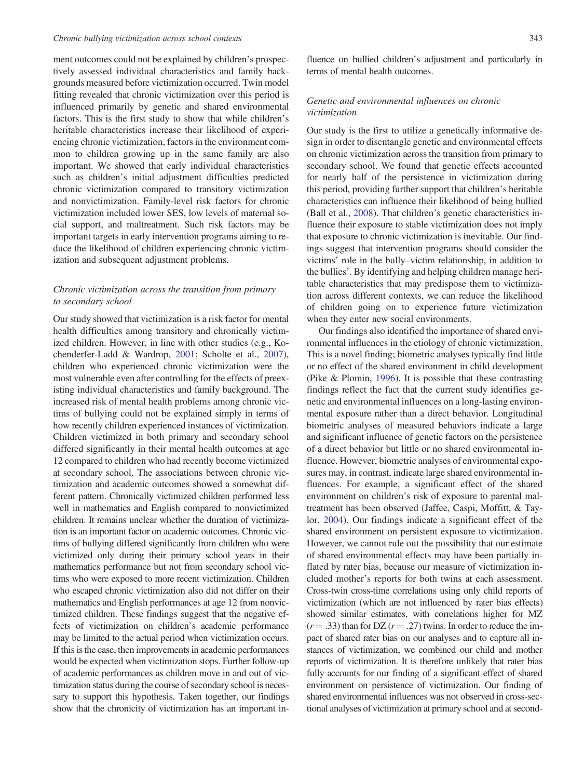ment outcomes could not be explained by children's prospectively assessed individual characteristics and family backgrounds measured before victimization occurred. Twin model fitting revealed that chronic victimization over this period is influenced primarily by genetic and shared environmental factors. This is the first study to show that while children's heritable characteristics increase their likelihood of experiencing chronic victimization, factors in the environment common to children growing up in the same family are also important. We showed that early individual characteristics such as children's initial adjustment difficulties predicted chronic victimization compared to transitory victimization and nonvictimization. Family-level risk factors for chronic victimization included lower SES, low levels of maternal social support, and maltreatment. Such risk factors may be important targets in early intervention programs aiming to reduce the likelihood of children experiencing chronic victimization and subsequent adjustment problems.

# Chronic victimization across the transition from primary to secondary school

Our study showed that victimization is a risk factor for mental health difficulties among transitory and chronically victimized children. However, in line with other studies (e.g., Kochenderfer-Ladd & Wardrop, [2001](#page-13-0); Scholte et al., [2007](#page-13-0)), children who experienced chronic victimization were the most vulnerable even after controlling for the effects of preexisting individual characteristics and family background. The increased risk of mental health problems among chronic victims of bullying could not be explained simply in terms of how recently children experienced instances of victimization. Children victimized in both primary and secondary school differed significantly in their mental health outcomes at age 12 compared to children who had recently become victimized at secondary school. The associations between chronic victimization and academic outcomes showed a somewhat different pattern. Chronically victimized children performed less well in mathematics and English compared to nonvictimized children. It remains unclear whether the duration of victimization is an important factor on academic outcomes. Chronic victims of bullying differed significantly from children who were victimized only during their primary school years in their mathematics performance but not from secondary school victims who were exposed to more recent victimization. Children who escaped chronic victimization also did not differ on their mathematics and English performances at age 12 from nonvictimized children. These findings suggest that the negative effects of victimization on children's academic performance may be limited to the actual period when victimization occurs. If this is the case, then improvements in academic performances would be expected when victimization stops. Further follow-up of academic performances as children move in and out of victimization status during the course of secondary school is necessary to support this hypothesis. Taken together, our findings show that the chronicity of victimization has an important in-

fluence on bullied children's adjustment and particularly in terms of mental health outcomes.

# Genetic and environmental influences on chronic victimization

Our study is the first to utilize a genetically informative design in order to disentangle genetic and environmental effects on chronic victimization across the transition from primary to secondary school. We found that genetic effects accounted for nearly half of the persistence in victimization during this period, providing further support that children's heritable characteristics can influence their likelihood of being bullied (Ball et al., [2008\)](#page-12-0). That children's genetic characteristics influence their exposure to stable victimization does not imply that exposure to chronic victimization is inevitable. Our findings suggest that intervention programs should consider the victims' role in the bully–victim relationship, in addition to the bullies'. By identifying and helping children manage heritable characteristics that may predispose them to victimization across different contexts, we can reduce the likelihood of children going on to experience future victimization when they enter new social environments.

Our findings also identified the importance of shared environmental influences in the etiology of chronic victimization. This is a novel finding; biometric analyses typically find little or no effect of the shared environment in child development (Pike & Plomin, [1996\)](#page-13-0). It is possible that these contrasting findings reflect the fact that the current study identifies genetic and environmental influences on a long-lasting environmental exposure rather than a direct behavior. Longitudinal biometric analyses of measured behaviors indicate a large and significant influence of genetic factors on the persistence of a direct behavior but little or no shared environmental influence. However, biometric analyses of environmental exposures may, in contrast, indicate large shared environmental influences. For example, a significant effect of the shared environment on children's risk of exposure to parental maltreatment has been observed (Jaffee, Caspi, Moffitt, & Taylor, [2004](#page-13-0)). Our findings indicate a significant effect of the shared environment on persistent exposure to victimization. However, we cannot rule out the possibility that our estimate of shared environmental effects may have been partially inflated by rater bias, because our measure of victimization included mother's reports for both twins at each assessment. Cross-twin cross-time correlations using only child reports of victimization (which are not influenced by rater bias effects) showed similar estimates, with correlations higher for MZ  $(r = .33)$  than for DZ  $(r = .27)$  twins. In order to reduce the impact of shared rater bias on our analyses and to capture all instances of victimization, we combined our child and mother reports of victimization. It is therefore unlikely that rater bias fully accounts for our finding of a significant effect of shared environment on persistence of victimization. Our finding of shared environmental influences was not observed in cross-sectional analyses of victimization at primary school and at second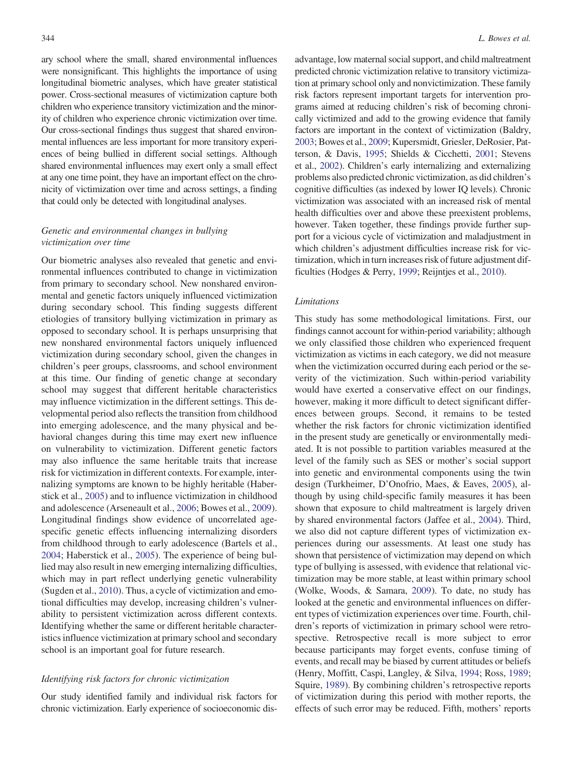ary school where the small, shared environmental influences were nonsignificant. This highlights the importance of using longitudinal biometric analyses, which have greater statistical power. Cross-sectional measures of victimization capture both children who experience transitory victimization and the minority of children who experience chronic victimization over time. Our cross-sectional findings thus suggest that shared environmental influences are less important for more transitory experiences of being bullied in different social settings. Although shared environmental influences may exert only a small effect at any one time point, they have an important effect on the chronicity of victimization over time and across settings, a finding that could only be detected with longitudinal analyses.

## Genetic and environmental changes in bullying victimization over time

Our biometric analyses also revealed that genetic and environmental influences contributed to change in victimization from primary to secondary school. New nonshared environmental and genetic factors uniquely influenced victimization during secondary school. This finding suggests different etiologies of transitory bullying victimization in primary as opposed to secondary school. It is perhaps unsurprising that new nonshared environmental factors uniquely influenced victimization during secondary school, given the changes in children's peer groups, classrooms, and school environment at this time. Our finding of genetic change at secondary school may suggest that different heritable characteristics may influence victimization in the different settings. This developmental period also reflects the transition from childhood into emerging adolescence, and the many physical and behavioral changes during this time may exert new influence on vulnerability to victimization. Different genetic factors may also influence the same heritable traits that increase risk for victimization in different contexts. For example, internalizing symptoms are known to be highly heritable (Haberstick et al., [2005](#page-13-0)) and to influence victimization in childhood and adolescence (Arseneault et al., [2006;](#page-12-0) Bowes et al., [2009](#page-12-0)). Longitudinal findings show evidence of uncorrelated agespecific genetic effects influencing internalizing disorders from childhood through to early adolescence (Bartels et al., [2004](#page-12-0); Haberstick et al., [2005\)](#page-13-0). The experience of being bullied may also result in new emerging internalizing difficulties, which may in part reflect underlying genetic vulnerability (Sugden et al., [2010](#page-13-0)). Thus, a cycle of victimization and emotional difficulties may develop, increasing children's vulnerability to persistent victimization across different contexts. Identifying whether the same or different heritable characteristics influence victimization at primary school and secondary school is an important goal for future research.

#### Identifying risk factors for chronic victimization

Our study identified family and individual risk factors for chronic victimization. Early experience of socioeconomic disadvantage, low maternal social support, and child maltreatment predicted chronic victimization relative to transitory victimization at primary school only and nonvictimization. These family risk factors represent important targets for intervention programs aimed at reducing children's risk of becoming chronically victimized and add to the growing evidence that family factors are important in the context of victimization (Baldry, [2003;](#page-12-0) Bowes et al., [2009](#page-12-0); Kupersmidt, Griesler, DeRosier, Patterson, & Davis, [1995;](#page-13-0) Shields & Cicchetti, [2001](#page-13-0); Stevens et al., [2002\)](#page-13-0). Children's early internalizing and externalizing problems also predicted chronic victimization, as did children's cognitive difficulties (as indexed by lower IQ levels). Chronic victimization was associated with an increased risk of mental health difficulties over and above these preexistent problems, however. Taken together, these findings provide further support for a vicious cycle of victimization and maladjustment in which children's adjustment difficulties increase risk for victimization, which in turn increases risk of future adjustment difficulties (Hodges & Perry, [1999](#page-13-0); Reijntjes et al., [2010](#page-13-0)).

## Limitations

This study has some methodological limitations. First, our findings cannot account for within-period variability; although we only classified those children who experienced frequent victimization as victims in each category, we did not measure when the victimization occurred during each period or the severity of the victimization. Such within-period variability would have exerted a conservative effect on our findings, however, making it more difficult to detect significant differences between groups. Second, it remains to be tested whether the risk factors for chronic victimization identified in the present study are genetically or environmentally mediated. It is not possible to partition variables measured at the level of the family such as SES or mother's social support into genetic and environmental components using the twin design (Turkheimer, D'Onofrio, Maes, & Eaves, [2005](#page-13-0)), although by using child-specific family measures it has been shown that exposure to child maltreatment is largely driven by shared environmental factors (Jaffee et al., [2004\)](#page-13-0). Third, we also did not capture different types of victimization experiences during our assessments. At least one study has shown that persistence of victimization may depend on which type of bullying is assessed, with evidence that relational victimization may be more stable, at least within primary school (Wolke, Woods, & Samara, [2009\)](#page-13-0). To date, no study has looked at the genetic and environmental influences on different types of victimization experiences over time. Fourth, children's reports of victimization in primary school were retrospective. Retrospective recall is more subject to error because participants may forget events, confuse timing of events, and recall may be biased by current attitudes or beliefs (Henry, Moffitt, Caspi, Langley, & Silva, [1994;](#page-13-0) Ross, [1989](#page-13-0); Squire, [1989\)](#page-13-0). By combining children's retrospective reports of victimization during this period with mother reports, the effects of such error may be reduced. Fifth, mothers' reports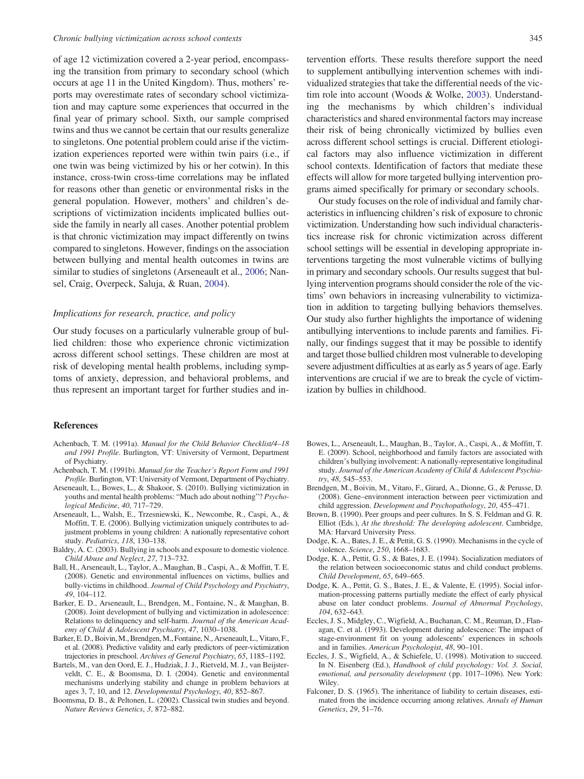<span id="page-12-0"></span>of age 12 victimization covered a 2-year period, encompassing the transition from primary to secondary school (which occurs at age 11 in the United Kingdom). Thus, mothers' reports may overestimate rates of secondary school victimization and may capture some experiences that occurred in the final year of primary school. Sixth, our sample comprised twins and thus we cannot be certain that our results generalize to singletons. One potential problem could arise if the victimization experiences reported were within twin pairs (i.e., if one twin was being victimized by his or her cotwin). In this instance, cross-twin cross-time correlations may be inflated for reasons other than genetic or environmental risks in the general population. However, mothers' and children's descriptions of victimization incidents implicated bullies outside the family in nearly all cases. Another potential problem is that chronic victimization may impact differently on twins compared to singletons. However, findings on the association between bullying and mental health outcomes in twins are similar to studies of singletons (Arseneault et al., 2006; Nansel, Craig, Overpeck, Saluja, & Ruan, [2004\)](#page-13-0).

#### Implications for research, practice, and policy

Our study focuses on a particularly vulnerable group of bullied children: those who experience chronic victimization across different school settings. These children are most at risk of developing mental health problems, including symptoms of anxiety, depression, and behavioral problems, and thus represent an important target for further studies and in-

#### References

- Achenbach, T. M. (1991a). Manual for the Child Behavior Checklist/4–18 and 1991 Profile. Burlington, VT: University of Vermont, Department of Psychiatry.
- Achenbach, T. M. (1991b). Manual for the Teacher's Report Form and 1991 Profile. Burlington, VT: University of Vermont, Department of Psychiatry.
- Arseneault, L., Bowes, L., & Shakoor, S. (2010). Bullying victimization in youths and mental health problems: "Much ado about nothing"? Psychological Medicine, 40, 717–729.
- Arseneault, L., Walsh, E., Trzesniewski, K., Newcombe, R., Caspi, A., & Moffitt, T. E. (2006). Bullying victimization uniquely contributes to adjustment problems in young children: A nationally representative cohort study. Pediatrics, 118, 130–138.
- Baldry, A. C. (2003). Bullying in schools and exposure to domestic violence. Child Abuse and Neglect, 27, 713–732.
- Ball, H., Arseneault, L., Taylor, A., Maughan, B., Caspi, A., & Moffitt, T. E. (2008). Genetic and environmental influences on victims, bullies and bully-victims in childhood. Journal of Child Psychology and Psychiatry, 49, 104–112.
- Barker, E. D., Arseneault, L., Brendgen, M., Fontaine, N., & Maughan, B. (2008). Joint development of bullying and victimization in adolescence: Relations to delinquency and self-harm. Journal of the American Academy of Child & Adolescent Psychiatry, 47, 1030–1038.
- Barker, E. D., Boivin,M., Brendgen, M., Fontaine, N., Arseneault, L., Vitaro, F., et al. (2008). Predictive validity and early predictors of peer-victimization trajectories in preschool. Archives of General Psychiatry, 65, 1185–1192.
- Bartels, M., van den Oord, E. J., Hudziak, J. J., Rietveld, M. J., van Beijsterveldt, C. E., & Boomsma, D. I. (2004). Genetic and environmental mechanisms underlying stability and change in problem behaviors at ages 3, 7, 10, and 12. Developmental Psychology, 40, 852–867.
- Boomsma, D. B., & Peltonen, L. (2002). Classical twin studies and beyond. Nature Reviews Genetics, 3, 872–882.

tervention efforts. These results therefore support the need to supplement antibullying intervention schemes with individualized strategies that take the differential needs of the victim role into account (Woods & Wolke, [2003\)](#page-13-0). Understanding the mechanisms by which children's individual characteristics and shared environmental factors may increase their risk of being chronically victimized by bullies even across different school settings is crucial. Different etiological factors may also influence victimization in different school contexts. Identification of factors that mediate these effects will allow for more targeted bullying intervention programs aimed specifically for primary or secondary schools.

Our study focuses on the role of individual and family characteristics in influencing children's risk of exposure to chronic victimization. Understanding how such individual characteristics increase risk for chronic victimization across different school settings will be essential in developing appropriate interventions targeting the most vulnerable victims of bullying in primary and secondary schools. Our results suggest that bullying intervention programs should consider the role of the victims' own behaviors in increasing vulnerability to victimization in addition to targeting bullying behaviors themselves. Our study also further highlights the importance of widening antibullying interventions to include parents and families. Finally, our findings suggest that it may be possible to identify and target those bullied children most vulnerable to developing severe adjustment difficulties at as early as 5 years of age. Early interventions are crucial if we are to break the cycle of victimization by bullies in childhood.

- Bowes, L., Arseneault, L., Maughan, B., Taylor, A., Caspi, A., & Moffitt, T. E. (2009). School, neighborhood and family factors are associated with children's bullying involvement: A nationally-representative longitudinal study. Journal of the American Academy of Child & Adolescent Psychiatry, 48, 545–553.
- Brendgen, M., Boivin, M., Vitaro, F., Girard, A., Dionne, G., & Perusse, D. (2008). Gene–environment interaction between peer victimization and child aggression. Development and Psychopathology, 20, 455–471.
- Brown, B. (1990). Peer groups and peer cultures. In S. S. Feldman and G. R. Elliot (Eds.), At the threshold: The developing adolescent. Cambridge, MA: Harvard University Press.
- Dodge, K. A., Bates, J. E., & Pettit, G. S. (1990). Mechanisms in the cycle of violence. Science, 250, 1668–1683.
- Dodge, K. A., Pettit, G. S., & Bates, J. E. (1994). Socialization mediators of the relation between socioeconomic status and child conduct problems. Child Development, 65, 649–665.
- Dodge, K. A., Pettit, G. S., Bates, J. E., & Valente, E. (1995). Social information-processing patterns partially mediate the effect of early physical abuse on later conduct problems. Journal of Abnormal Psychology, 104, 632–643.
- Eccles, J. S., Midgley, C., Wigfield, A., Buchanan, C. M., Reuman, D., Flanagan, C. et al. (1993). Development during adolescence: The impact of stage-environment fit on young adolescents' experiences in schools and in families. American Psychologist, 48, 90–101.
- Eccles, J. S., Wigfield, A., & Schiefele, U. (1998). Motivation to succeed. In N. Eisenberg (Ed.), Handbook of child psychology: Vol. 3. Social, emotional, and personality development (pp. 1017–1096). New York: Wiley.
- Falconer, D. S. (1965). The inheritance of liability to certain diseases, estimated from the incidence occurring among relatives. Annals of Human Genetics, 29, 51–76.